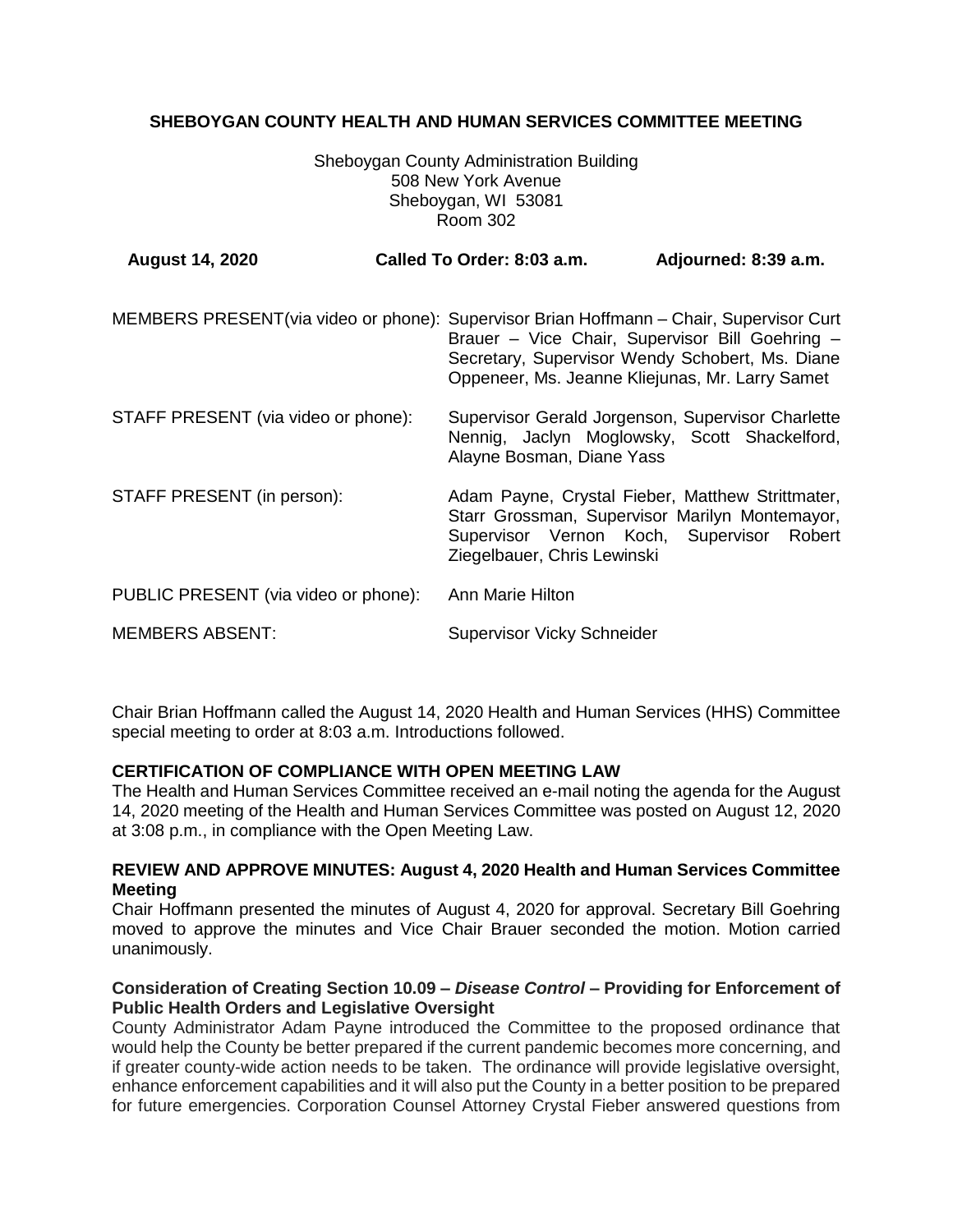# **SHEBOYGAN COUNTY HEALTH AND HUMAN SERVICES COMMITTEE MEETING**

Sheboygan County Administration Building 508 New York Avenue Sheboygan, WI 53081 Room 302

| <b>August 14, 2020</b>                                                                   | Called To Order: 8:03 a.m.        | Adjourned: 8:39 a.m.                                                                                                                                  |
|------------------------------------------------------------------------------------------|-----------------------------------|-------------------------------------------------------------------------------------------------------------------------------------------------------|
| MEMBERS PRESENT (via video or phone): Supervisor Brian Hoffmann - Chair, Supervisor Curt |                                   | Brauer - Vice Chair, Supervisor Bill Goehring -<br>Secretary, Supervisor Wendy Schobert, Ms. Diane<br>Oppeneer, Ms. Jeanne Kliejunas, Mr. Larry Samet |
| STAFF PRESENT (via video or phone):                                                      | Alayne Bosman, Diane Yass         | Supervisor Gerald Jorgenson, Supervisor Charlette<br>Nennig, Jaclyn Moglowsky, Scott Shackelford,                                                     |
| STAFF PRESENT (in person):                                                               | Ziegelbauer, Chris Lewinski       | Adam Payne, Crystal Fieber, Matthew Strittmater,<br>Starr Grossman, Supervisor Marilyn Montemayor,<br>Supervisor Vernon Koch, Supervisor Robert       |
| PUBLIC PRESENT (via video or phone):                                                     | Ann Marie Hilton                  |                                                                                                                                                       |
| <b>MEMBERS ABSENT:</b>                                                                   | <b>Supervisor Vicky Schneider</b> |                                                                                                                                                       |

Chair Brian Hoffmann called the August 14, 2020 Health and Human Services (HHS) Committee special meeting to order at 8:03 a.m. Introductions followed.

# **CERTIFICATION OF COMPLIANCE WITH OPEN MEETING LAW**

The Health and Human Services Committee received an e-mail noting the agenda for the August 14, 2020 meeting of the Health and Human Services Committee was posted on August 12, 2020 at 3:08 p.m., in compliance with the Open Meeting Law.

### **REVIEW AND APPROVE MINUTES: August 4, 2020 Health and Human Services Committee Meeting**

Chair Hoffmann presented the minutes of August 4, 2020 for approval. Secretary Bill Goehring moved to approve the minutes and Vice Chair Brauer seconded the motion. Motion carried unanimously.

### **Consideration of Creating Section 10.09 –** *Disease Control* **– Providing for Enforcement of Public Health Orders and Legislative Oversight**

County Administrator Adam Payne introduced the Committee to the proposed ordinance that would help the County be better prepared if the current pandemic becomes more concerning, and if greater county-wide action needs to be taken. The ordinance will provide legislative oversight, enhance enforcement capabilities and it will also put the County in a better position to be prepared for future emergencies. Corporation Counsel Attorney Crystal Fieber answered questions from